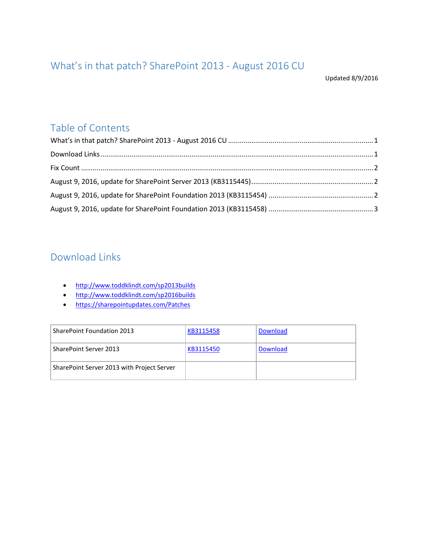# <span id="page-0-0"></span>What's in that patch? SharePoint 2013 - August 2016 CU

Updated 8/9/2016

### Table of Contents

# <span id="page-0-1"></span>Download Links

- <http://www.toddklindt.com/sp2013builds>
- <http://www.toddklindt.com/sp2016builds>
- <https://sharepointupdates.com/Patches>

| <b>SharePoint Foundation 2013</b>          | KB3115458 | Download |
|--------------------------------------------|-----------|----------|
| SharePoint Server 2013                     | KB3115450 | Download |
| SharePoint Server 2013 with Project Server |           |          |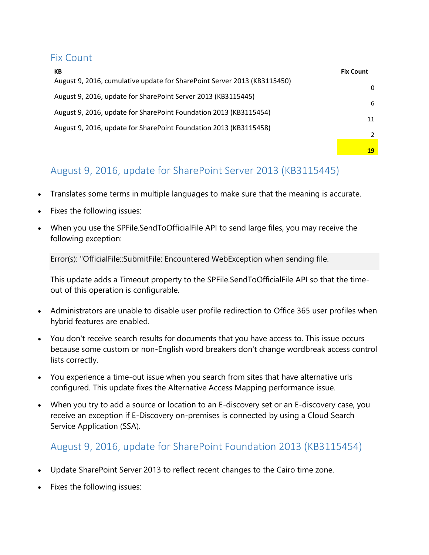#### <span id="page-1-0"></span>Fix Count

| КB                                                                       | <b>Fix Count</b> |
|--------------------------------------------------------------------------|------------------|
| August 9, 2016, cumulative update for SharePoint Server 2013 (KB3115450) | 0                |
| August 9, 2016, update for SharePoint Server 2013 (KB3115445)            | 6                |
| August 9, 2016, update for SharePoint Foundation 2013 (KB3115454)        |                  |
| August 9, 2016, update for SharePoint Foundation 2013 (KB3115458)        | 11               |
|                                                                          |                  |
|                                                                          | 19               |

# <span id="page-1-1"></span>August 9, 2016, update for SharePoint Server 2013 (KB3115445)

- Translates some terms in multiple languages to make sure that the meaning is accurate.
- Fixes the following issues:
- When you use the SPFile.SendToOfficialFile API to send large files, you may receive the following exception:

Error(s): "OfficialFile::SubmitFile: Encountered WebException when sending file.

This update adds a Timeout property to the SPFile.SendToOfficialFile API so that the timeout of this operation is configurable.

- Administrators are unable to disable user profile redirection to Office 365 user profiles when hybrid features are enabled.
- You don't receive search results for documents that you have access to. This issue occurs because some custom or non-English word breakers don't change wordbreak access control lists correctly.
- You experience a time-out issue when you search from sites that have alternative urls configured. This update fixes the Alternative Access Mapping performance issue.
- When you try to add a source or location to an E-discovery set or an E-discovery case, you receive an exception if E-Discovery on-premises is connected by using a Cloud Search Service Application (SSA).

### <span id="page-1-2"></span>August 9, 2016, update for SharePoint Foundation 2013 (KB3115454)

- Update SharePoint Server 2013 to reflect recent changes to the Cairo time zone.
- Fixes the following issues: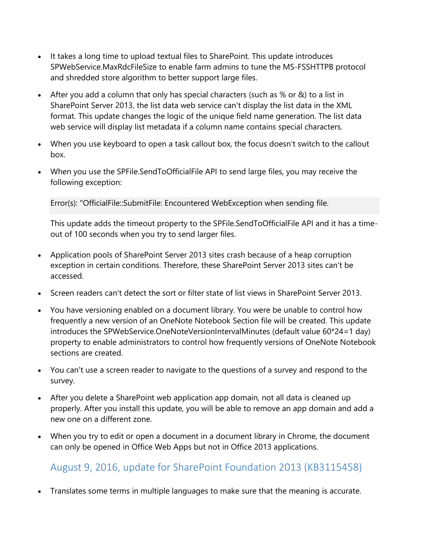- It takes a long time to upload textual files to SharePoint. This update introduces SPWebService.MaxRdcFileSize to enable farm admins to tune the MS-FSSHTTPB protocol and shredded store algorithm to better support large files.
- After you add a column that only has special characters (such as % or &) to a list in SharePoint Server 2013, the list data web service can't display the list data in the XML format. This update changes the logic of the unique field name generation. The list data web service will display list metadata if a column name contains special characters.
- When you use keyboard to open a task callout box, the focus doesn't switch to the callout box.
- When you use the SPFile.SendToOfficialFile API to send large files, you may receive the following exception:

Error(s): "OfficialFile::SubmitFile: Encountered WebException when sending file.

This update adds the timeout property to the SPFile.SendToOfficialFile API and it has a timeout of 100 seconds when you try to send larger files.

- Application pools of SharePoint Server 2013 sites crash because of a heap corruption exception in certain conditions. Therefore, these SharePoint Server 2013 sites can't be accessed.
- Screen readers can't detect the sort or filter state of list views in SharePoint Server 2013.
- You have versioning enabled on a document library. You were be unable to control how frequently a new version of an OneNote Notebook Section file will be created. This update introduces the SPWebService.OneNoteVersionIntervalMinutes (default value 60\*24=1 day) property to enable administrators to control how frequently versions of OneNote Notebook sections are created.
- You can't use a screen reader to navigate to the questions of a survey and respond to the survey.
- After you delete a SharePoint web application app domain, not all data is cleaned up properly. After you install this update, you will be able to remove an app domain and add a new one on a different zone.
- When you try to edit or open a document in a document library in Chrome, the document can only be opened in Office Web Apps but not in Office 2013 applications.

## <span id="page-2-0"></span>August 9, 2016, update for SharePoint Foundation 2013 (KB3115458)

Translates some terms in multiple languages to make sure that the meaning is accurate.